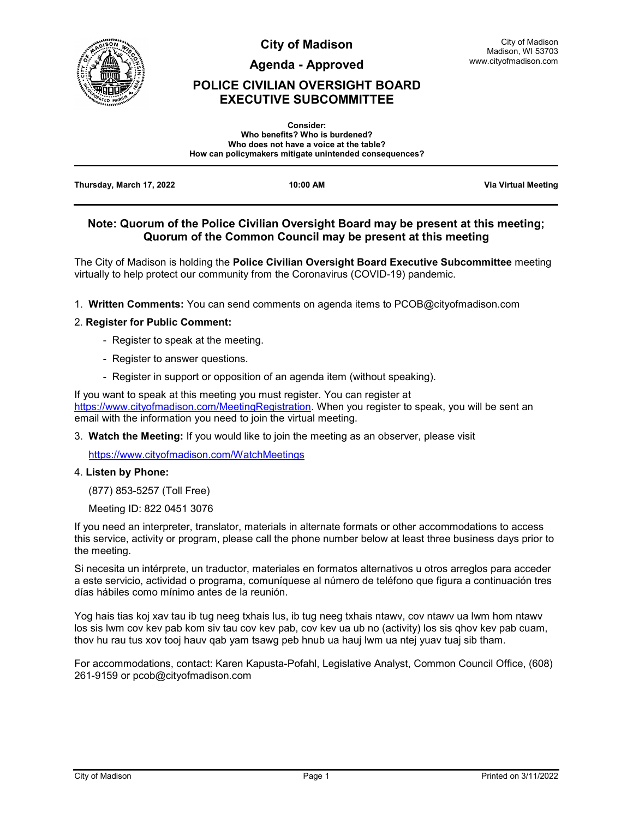

**City of Madison**

**Agenda - Approved**

## **POLICE CIVILIAN OVERSIGHT BOARD EXECUTIVE SUBCOMMITTEE**

|                          | <b>Consider:</b>                                       |                            |
|--------------------------|--------------------------------------------------------|----------------------------|
|                          | Who benefits? Who is burdened?                         |                            |
|                          | Who does not have a voice at the table?                |                            |
|                          | How can policymakers mitigate unintended consequences? |                            |
|                          |                                                        |                            |
| Thursday, March 17, 2022 | 10:00 AM                                               | <b>Via Virtual Meeting</b> |

#### **Note: Quorum of the Police Civilian Oversight Board may be present at this meeting; Quorum of the Common Council may be present at this meeting**

The City of Madison is holding the **Police Civilian Oversight Board Executive Subcommittee** meeting virtually to help protect our community from the Coronavirus (COVID-19) pandemic.

1. **Written Comments:** You can send comments on agenda items to PCOB@cityofmadison.com

#### 2. **Register for Public Comment:**

- Register to speak at the meeting.
- Register to answer questions.
- Register in support or opposition of an agenda item (without speaking).

If you want to speak at this meeting you must register. You can register at [https://www.cityofmadison.com/MeetingRegistration.](https://www.cityofmadison.com/MeetingRegistration) When you register to speak, you will be sent an email with the information you need to join the virtual meeting.

3. **Watch the Meeting:** If you would like to join the meeting as an observer, please visit

<https://www.cityofmadison.com/WatchMeetings>

#### 4. **Listen by Phone:**

(877) 853-5257 (Toll Free)

Meeting ID: 822 0451 3076

If you need an interpreter, translator, materials in alternate formats or other accommodations to access this service, activity or program, please call the phone number below at least three business days prior to the meeting.

Si necesita un intérprete, un traductor, materiales en formatos alternativos u otros arreglos para acceder a este servicio, actividad o programa, comuníquese al número de teléfono que figura a continuación tres días hábiles como mínimo antes de la reunión.

Yog hais tias koj xav tau ib tug neeg txhais lus, ib tug neeg txhais ntawv, cov ntawv ua lwm hom ntawv los sis lwm cov kev pab kom siv tau cov kev pab, cov kev ua ub no (activity) los sis qhov kev pab cuam, thov hu rau tus xov tooj hauv qab yam tsawg peb hnub ua hauj lwm ua ntej yuav tuaj sib tham.

For accommodations, contact: Karen Kapusta-Pofahl, Legislative Analyst, Common Council Office, (608) 261-9159 or pcob@cityofmadison.com